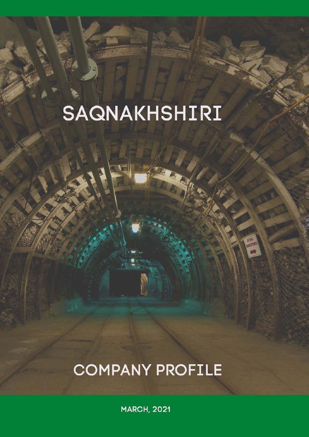# SAQNAKHSHIRI

# **COMPANY PROFILE**

**MENU** 

**MARCH, 2021**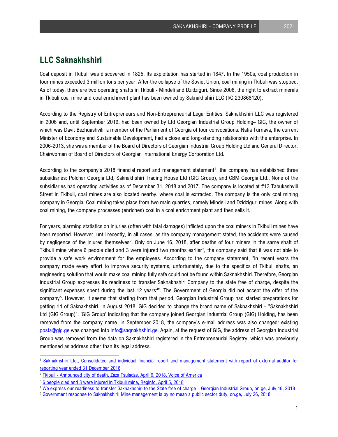# **LLC Saknakhshiri**

Coal deposit in Tkibuli was discovered in 1825. Its exploitation has started in 1847. In the 1950s, coal production in four mines exceeded 3 million tons per year. After the collapse of the Soviet Union, coal mining in Tkibuli was stopped. As of today, there are two operating shafts in Tkibuli - Mindeli and Dzidziguri. Since 2006, the right to extract minerals in Tkibuli coal mine and coal enrichment plant has been owned by Saknakhshiri LLC (I/C 230868120).

According to the Registry of Entrepreneurs and Non-Entrepreneurial Legal Entities, Saknakhshiri LLC was registered in 2006 and, until September 2019, had been owned by Ltd Georgian Industrial Group Holding– GIG, the owner of which was Davit Bezhuashvili, a member of the Parliament of Georgia of four convocations. Natia Turnava, the current Minister of Economy and Sustainable Development, had a close and long-standing relationship with the enterprise. In 2006-2013, she was a member of the Board of Directors of Georgian Industrial Group Holding Ltd and General Director, Chairwoman of Board of Directors of Georgian International Energy Corporation Ltd.

According to the company's 20[1](#page-1-0)8 financial report and management statement<sup>1</sup>, the company has established three subsidiaries: Polchar Georgia Ltd, Saknakhshiri Trading House Ltd (GIG Group), and CBM Georgia Ltd.. None of the subsidiaries had operating activities as of December 31, 2018 and 2017. The company is located at #13 Tabukashvili Street in Tkibuli, coal mines are also located nearby, where coal is extracted. The company is the only coal mining company in Georgia. Coal mining takes place from two main quarries, namely Mindeli and Dzidziguri mines. Along with coal mining, the company processes (enriches) coal in a coal enrichment plant and then sells it.

For years, alarming statistics on injuries (often with fatal damages) inflicted upon the coal miners in Tkibuli mines have been reported. However, until recently, in all cases, as the company management stated, the accidents were caused by negligence of the injured themselves<sup>[2](#page-1-1)</sup>. Only on June 16, 2018, after deaths of four miners in the same shaft of Tkibuli mine where 6 people died and [3](#page-1-2) were injured two months earlier<sup>3</sup>, the company said that it was not able to provide a safe work environment for the employees. According to the company statement, "in recent years the company made every effort to improve security systems, unfortunately, due to the specifics of Tkibuli shafts, an engineering solution that would make coal mining fully safe could not be found within Saknakhshiri. Therefore, Georgian Industrial Group expresses its readiness to transfer Saknakhshiri Company to the state free of charge, despite the significant expenses spent during the last 12 years<sup>[4](#page-1-3)</sup>". The Government of Georgia did not accept the offer of the company<sup>[5](#page-1-4)</sup>. However, it seems that starting from that period, Georgian Industrial Group had started preparations for getting rid of Saknakhshiri. In August 2018, GIG decided to change the brand name of Saknakhshiri – "Saknakhshiri Ltd (GIG Group)". 'GIG Group' indicating that the company joined Georgian Industrial Group (GIG) Holding, has been removed from the company name. In September 2018, the company's e-mail address was also changed: existing [posta@gig.ge](mailto:posta@gig.ge) was changed into [info@saqnakhshiri.ge.](mailto:info@saqnakhshiri.ge) Again, at the request of GIG, the address of Georgian Industrial Group was removed from the data on Saknakhshiri registered in the Entrepreneurial Registry, which was previously mentioned as address other than its legal address.

<span id="page-1-0"></span><sup>1</sup> [Saknakhshiri Ltd., Consolidated and individual financial report and management statement with report of external auditor for](https://reportal.ge/RpFileHandler.ashx?sys=2950)  [reporting year ended 31 December 2018](https://reportal.ge/RpFileHandler.ashx?sys=2950)

<span id="page-1-1"></span><sup>&</sup>lt;sup>2</sup> [Tkibuli - Announced city of death, Zaza Tsuladze, April 9, 2018, Voice of America](https://www.amerikiskhma.com/a/georgia-six-miners-killed-in-tkibuli-coal-mine/4339108.html)

<span id="page-1-2"></span><sup>&</sup>lt;sup>3</sup> [6 people died and 3 were injured in Tkibuli mine, Reginfo, April 5, 2018](https://reginfo.ge/people/item/6161-tybibulis-shaxtashi-6-adamiani-daigupa,-3-dashavda)

<span id="page-1-3"></span><sup>&</sup>lt;sup>4</sup> [We express our readiness to transfer Saknakhshiri to the State free of charge – Georgian Industrial Group, on.ge, July 16, 2018](https://on.ge/story/25483-%E1%83%9B%E1%83%96%E1%83%90%E1%83%93-%E1%83%95%E1%83%90%E1%83%A0%E1%83%97-%E1%83%A1%E1%83%90%E1%83%A5%E1%83%9C%E1%83%90%E1%83%AE%E1%83%A8%E1%83%98%E1%83%A0%E1%83%98-%E1%83%A1%E1%83%90%E1%83%AE%E1%83%94%E1%83%9A%E1%83%9B%E1%83%AC%E1%83%98%E1%83%A4%E1%83%9D%E1%83%A1-%E1%83%A3%E1%83%A1%E1%83%90%E1%83%A1%E1%83%A7%E1%83%98%E1%83%93%E1%83%9A%E1%83%9D%E1%83%93-%E1%83%92%E1%83%90%E1%83%93%E1%83%90%E1%83%95%E1%83%AA%E1%83%94%E1%83%97-%E1%83%A1%E1%83%90%E1%83%A5%E1%83%90%E1%83%A0%E1%83%97%E1%83%95%E1%83%94%E1%83%9A%E1%83%9D%E1%83%A1-%E1%83%98%E1%83%9C%E1%83%93%E1%83%A3%E1%83%A1%E1%83%A2%E1%83%A0%E1%83%98%E1%83%A3%E1%83%9A%E1%83%98-%E1%83%AF%E1%83%92%E1%83%A3%E1%83%A4%E1%83%98)

<span id="page-1-4"></span><sup>5</sup> Government response to Saknakhshiri: Mine management is by no mean a public sector duty, on.ge, July 26, 2018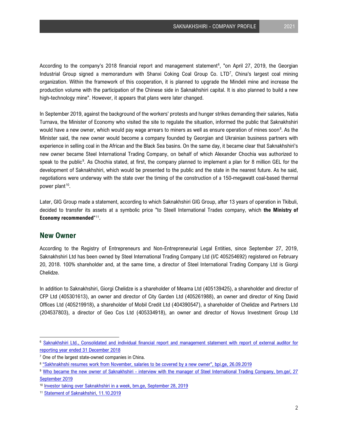According to the company's 2018 financial report and management statement<sup>[6](#page-2-0)</sup>, "on April 27, 2019, the Georgian Industrial Group signed a memorandum with Shanxi Coking Coal Group Co. LTD[7](#page-2-1) , China's largest coal mining organization. Within the framework of this cooperation, it is planned to upgrade the Mindeli mine and increase the production volume with the participation of the Chinese side in Saknakhshiri capital. It is also planned to build a new high-technology mine". However, it appears that plans were later changed.

In September 2019, against the background of the workers' protests and hunger strikes demanding their salaries, Natia Turnava, the Minister of Economy who visited the site to regulate the situation, informed the public that Saknakhshiri would have a new owner, which would pay wage arrears to miners as well as ensure operation of mines soon $^8$  $^8$ . As the Minister said, the new owner would become a company founded by Georgian and Ukrainian business partners with experience in selling coal in the African and the Black Sea basins. On the same day, it became clear that Saknakhshiri's new owner became Steel International Trading Company, on behalf of which Alexander Chochia was authorized to speak to the public<sup>[9](#page-2-3)</sup>. As Chochia stated, at first, the company planned to implement a plan for 8 million GEL for the development of Saknakhshiri, which would be presented to the public and the state in the nearest future. As he said, negotiations were underway with the state over the timing of the construction of a 150-megawatt coal-based thermal power plant<sup>[10](#page-2-4)</sup>.

Later, GIG Group made a statement, according to which Saknakhshiri GIG Group, after 13 years of operation in Tkibuli, decided to transfer its assets at a symbolic price "to Steell International Trades company, which **the Ministry of Economy recommended**"[11.](#page-2-5)

#### **New Owner**

According to the Registry of Entrepreneurs and Non-Entrepreneurial Legal Entities, since September 27, 2019, Saknakhshiri Ltd has been owned by Steel International Trading Company Ltd (I/C 405254692) registered on February 20, 2018. 100% shareholder and, at the same time, a director of Steel International Trading Company Ltd is Giorgi Chelidze.

In addition to Saknakhshiri, Giorgi Chelidze is a shareholder of Meama Ltd (405139425), a shareholder and director of CFP Ltd (405301613), an owner and director of City Garden Ltd (405261988), an owner and director of King David Offices Ltd (405219918), a shareholder of Mobil Credit Ltd (404390547), a shareholder of Chelidze and Partners Ltd (204537803), a director of Geo Cos Ltd (405334918), an owner and director of Novus Investment Group Ltd

<span id="page-2-0"></span><sup>6</sup> [Saknakhshiri Ltd., Consolidated and individual financial report and management statement with report of external auditor for](https://reportal.ge/RpFileHandler.ashx?sys=2950)  [reporting year ended 31 December 2018](https://reportal.ge/RpFileHandler.ashx?sys=2950)

<span id="page-2-1"></span><sup>&</sup>lt;sup>7</sup> One of the largest state-owned companies in China.

<span id="page-2-2"></span><sup>8</sup> ["Sakhnakhshi resumes work from November, salaries to be covered by a new owner", bpi.ge, 26.09.2019](https://bpi.ge/%E1%83%A2%E1%83%A7%E1%83%A3%E1%83%91%E1%83%A3%E1%83%9A%E1%83%98%E1%83%A1-%E1%83%9B%E1%83%90%E1%83%A6%E1%83%90%E1%83%A0%E1%83%9D-%E1%83%9C%E1%83%90%E1%83%AE%E1%83%A8%E1%83%98%E1%83%A0%E1%83%98%E1%83%A1/)

<span id="page-2-3"></span><sup>9</sup> [Who became the new owner of Saknakhshiri - interview with the manager of Steel International Trading Company, bm.ge/, 27](https://bm.ge/ka/article/vin-gaxda-saqnaxshiris-axali-mflobeli---interviu-steel-international-trading-company-s-menejertan/41011)  [September 2019](https://bm.ge/ka/article/vin-gaxda-saqnaxshiris-axali-mflobeli---interviu-steel-international-trading-company-s-menejertan/41011)

<span id="page-2-4"></span><sup>10</sup> [Investor taking over Saknakhshiri in a week, bm.ge, September 28, 2019](https://bm.ge/ka/article/investori-saqnaxshirs-ert-kvirashi-gadaibarebs/41035/)

<span id="page-2-5"></span><sup>11</sup> [Statement of Saknakhshiri, 11.10.2019](https://www.gig.ge/uploads/2019-11-29/15tkibuli%202019.pdf)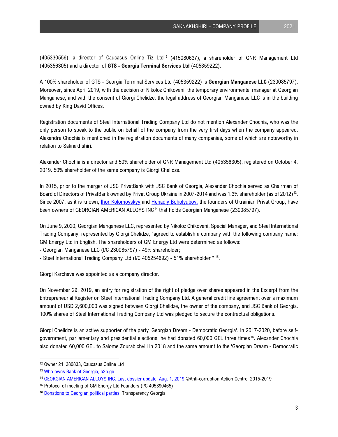(405330556), a director of Caucasus Online Tiz Ltd<sup>[12](#page-3-0)</sup> (415080637), a shareholder of GNR Management Ltd (405356305) and a director of **GTS - Georgia Terminal Services Ltd** (405359222).

A 100% shareholder of GTS - Georgia Terminal Services Ltd (405359222) is **Georgian Manganese LLC** (230085797). Moreover, since April 2019, with the decision of Nikoloz Chikovani, the temporary environmental manager at Georgian Manganese, and with the consent of Giorgi Chelidze, the legal address of Georgian Manganese LLC is in the building owned by King David Offices.

Registration documents of Steel International Trading Company Ltd do not mention Alexander Chochia, who was the only person to speak to the public on behalf of the company from the very first days when the company appeared. Alexandre Chochia is mentioned in the registration documents of many companies, some of which are noteworthy in relation to Saknakhshiri.

Alexander Chochia is a director and 50% shareholder of GNR Management Ltd (405356305), registered on October 4, 2019. 50% shareholder of the same company is Giorgi Chelidze.

In 2015, prior to the merger of JSC PrivatBank with JSC Bank of Georgia, Alexander Chochia served as Chairman of Board of Directors of PrivatBank owned by Privat Group Ukraine in 2007-2014 and was 1.3% shareholder (as of 2012)[13.](#page-3-1) Since 2007, as it is known, *Ihor Kolomoyskyy* and [Henadiy Boholyubov,](https://www.forbes.com/profile/henadiy-boholyubov/#38809d326e00) the founders of Ukrainian Privat Group, have been owners of GEORGIAN AMERICAN ALLOYS INC[14](#page-3-2) that holds Georgian Manganese (230085797).

On June 9, 2020, Georgian Manganese LLC, represented by Nikoloz Chikovani, Special Manager, and Steel International Trading Company, represented by Giorgi Chelidze, "agreed to establish a company with the following company name: GM Energy Ltd in English. The shareholders of GM Energy Ltd were determined as follows:

- Georgian Manganese LLC (I/C 230085797) - 49% shareholder;

- Steel International Trading Company Ltd (I/C 405254692) - 51% shareholder " [15](#page-3-3).

Giorgi Karchava was appointed as a company director.

On November 29, 2019, an entry for registration of the right of pledge over shares appeared in the Excerpt from the Entrepreneurial Register on Steel International Trading Company Ltd. A general credit line agreement over a maximum amount of USD 2,600,000 was signed between Giorgi Chelidze, the owner of the company, and JSC Bank of Georgia. 100% shares of Steel International Trading Company Ltd was pledged to secure the contractual obligations.

Giorgi Chelidze is an active supporter of the party 'Georgian Dream - Democratic Georgia'. In 2017-2020, before selfgovernment, parliamentary and presidential elections, he had donated 60,000 GEL three times<sup>16</sup>. Alexander Chochia also donated 60,000 GEL to Salome Zourabichvili in 2018 and the same amount to the 'Georgian Dream - Democratic

<span id="page-3-0"></span><sup>12</sup> Owner 211380833, Caucasus Online Ltd

<span id="page-3-1"></span><sup>13</sup> [Who owns Bank of Georgia, b2p.ge](https://b2p.ge/saqartveloshi-bankis-mflobelebi/)

<span id="page-3-2"></span><sup>14</sup> [GEORGIAN AMERICAN ALLOYS INC. Last dossier update: Aug. 1, 2019](https://pep.org.ua/en/company/15982) ©Anti-corruption Action Centre, 2015-2019

<span id="page-3-3"></span><sup>15</sup> Protocol of meeting of GM Energy Ltd Founders (I/C 405390465)

<span id="page-3-4"></span><sup>16</sup> [Donations to Georgian political parties, Transparency Georgia](https://transparency.ge/politicaldonations/en/donations/7200)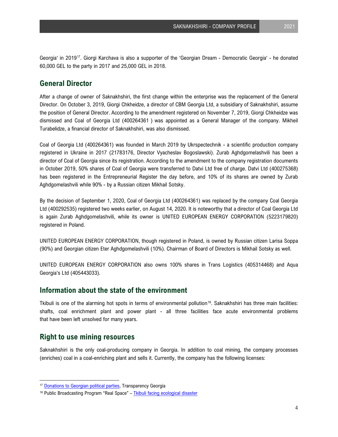Georgia' in 2019<sup>17</sup>. Giorgi Karchava is also a supporter of the 'Georgian Dream - Democratic Georgia' - he donated 60,000 GEL to the party in 2017 and 25,000 GEL in 2018.

### **General Director**

After a change of owner of Saknakhshiri, the first change within the enterprise was the replacement of the General Director. On October 3, 2019, Giorgi Chkheidze, a director of CBM Georgia Ltd, a subsidiary of Saknakhshiri, assume the position of General Director. According to the amendment registered on November 7, 2019, Giorgi Chkheidze was dismissed and Coal of Georgia Ltd (400264361 ) was appointed as a General Manager of the company. Mikheil Turabelidze, a financial director of Saknakhshiri, was also dismissed.

Coal of Georgia Ltd (400264361) was founded in March 2019 by Ukrspectechnik - a scientific production company registered in Ukraine in 2017 (21783176, Director Vyacheslav Bogoslawski). Zurab Aghdgomelashvili has been a director of Coal of Georgia since its registration. According to the amendment to the company registration documents in October 2019, 50% shares of Coal of Georgia were transferred to Datvi Ltd free of charge. Datvi Ltd (400275368) has been registered in the Entrepreneurial Register the day before, and 10% of its shares are owned by Zurab Aghdgomelashvili while 90% - by a Russian citizen Mikhail Sotsky.

By the decision of September 1, 2020, Coal of Georgia Ltd (400264361) was replaced by the company Coal Georgia Ltd (400292535) registered two weeks earlier, on August 14, 2020. It is noteworthy that a director of Coal Georgia Ltd is again Zurab Aghdgomelashvili, while its owner is UNITED EUROPEAN ENERGY CORPORATION (5223179820) registered in Poland.

UNITED EUROPEAN ENERGY CORPORATION, though registered in Poland, is owned by Russian citizen Larisa Soppa (90%) and Georgian citizen Eter Aghdgomelashvili (10%). Chairman of Board of Directors is Mikhail Sotsky as well.

UNITED EUROPEAN ENERGY CORPORATION also owns 100% shares in Trans Logistics (405314468) and Aqua Georgia's Ltd (405443033).

#### **Information about the state of the environment**

Tkibuli is one of the alarming hot spots in terms of environmental pollution<sup>[18](#page-4-1)</sup>. Saknakhshiri has three main facilities: shafts, coal enrichment plant and power plant - all three facilities face acute environmental problems that have been left unsolved for many years.

#### **Right to use mining resources**

Saknakhshiri is the only coal-producing company in Georgia. In addition to coal mining, the company processes (enriches) coal in a coal-enriching plant and sells it. Currently, the company has the following licenses:

<span id="page-4-0"></span><sup>&</sup>lt;sup>17</sup> [Donations to Georgian political parties, Transparency Georgia](https://transparency.ge/politicaldonations/en/donations/7200)

<span id="page-4-1"></span><sup>&</sup>lt;sup>18</sup> Public Broadcasting Program "Real Space" – Tkibuli facing ecological disaster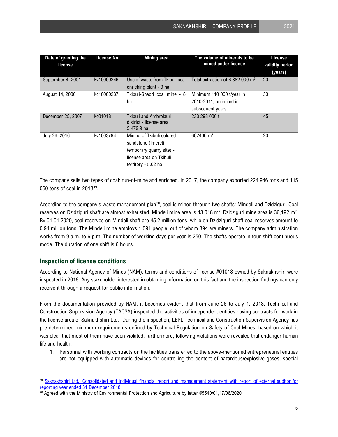| Date of granting the<br>license | License No. | <b>Mining area</b>                                       | The volume of minerals to be<br>mined under license | <b>License</b><br>validity period |
|---------------------------------|-------------|----------------------------------------------------------|-----------------------------------------------------|-----------------------------------|
|                                 |             |                                                          |                                                     | (years)                           |
| September 4, 2001               | No 10000246 | Use of waste from Tkibuli coal                           | Total extraction of 6 882 000 m <sup>3</sup>        | 20                                |
|                                 |             | enriching plant - 9 ha                                   |                                                     |                                   |
| August 14, 2006                 | No 10000237 | Tkibuli-Shaori coal mine - 8                             | Minimum 110 000 t/year in                           | 30                                |
|                                 |             | ha                                                       | 2010-2011, unlimited in                             |                                   |
|                                 |             |                                                          | subsequent years                                    |                                   |
| December 25, 2007               | No01018     | <b>Tkibuli and Ambrolauri</b><br>district - license area | 233 298 000 t                                       | 45                                |
|                                 |             | 5479,9 ha                                                |                                                     |                                   |
| July 26, 2016                   | No 1003794  | Mining of Tkibuli colored                                | 602400 m <sup>3</sup>                               | 20                                |
|                                 |             | sandstone (Imereti                                       |                                                     |                                   |
|                                 |             | temporary quarry site) -                                 |                                                     |                                   |
|                                 |             | license area on Tkibuli                                  |                                                     |                                   |
|                                 |             | territory - 5.02 ha                                      |                                                     |                                   |

The company sells two types of coal: run-of-mine and enriched. In 2017, the company exported 224 946 tons and 115 060 tons of coal in 2018[19.](#page-5-0)

According to the company's waste management plan<sup>[20](#page-5-1)</sup>, coal is mined through two shafts: Mindeli and Dzidziguri. Coal reserves on Dzidziguri shaft are almost exhausted. Mindeli mine area is 43 018 m<sup>2</sup>. Dzidziguri mine area is 36,192 m<sup>2</sup>. By 01.01.2020, coal reserves on Mindeli shaft are 45.2 million tons, while on Dzidziguri shaft coal reserves amount to 0.94 million tons. The Mindeli mine employs 1,091 people, out of whom 894 are miners. The company administration works from 9 a.m. to 6 p.m. The number of working days per year is 250. The shafts operate in four-shift continuous mode. The duration of one shift is 6 hours.

#### **Inspection of license conditions**

According to National Agency of Mines (NAM), terms and conditions of license #01018 owned by Saknakhshiri were inspected in 2018. Any stakeholder interested in obtaining information on this fact and the inspection findings can only receive it through a request for public information.

From the documentation provided by NAM, it becomes evident that from June 26 to July 1, 2018, Technical and Construction Supervision Agency (TACSA) inspected the activities of independent entities having contracts for work in the license area of Saknakhshiri Ltd. "During the inspection, LEPL Technical and Construction Supervision Agency has pre-determined minimum requirements defined by Technical Regulation on Safety of Coal Mines, based on which it was clear that most of them have been violated, furthermore, following violations were revealed that endanger human life and health:

1. Personnel with working contracts on the facilities transferred to the above-mentioned entrepreneurial entities are not equipped with automatic devices for controlling the content of hazardous/explosive gases, special

<span id="page-5-0"></span><sup>&</sup>lt;sup>19</sup> Saknakhshiri Ltd., Consolidated and individual financial report and management statement with report of external auditor for<br>reporting year ended 31 December 2018

<span id="page-5-1"></span><sup>&</sup>lt;sup>20</sup> Agreed with the Ministry of Environmental Protection and Agriculture by letter #5540/01,17/06/2020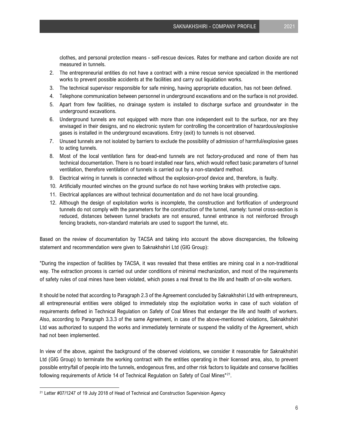clothes, and personal protection means - self-rescue devices. Rates for methane and carbon dioxide are not measured in tunnels.

- 2. The entrepreneurial entities do not have a contract with a mine rescue service specialized in the mentioned works to prevent possible accidents at the facilities and carry out liquidation works.
- 3. The technical supervisor responsible for safe mining, having appropriate education, has not been defined.
- 4. Telephone communication between personnel in underground excavations and on the surface is not provided.
- 5. Apart from few facilities, no drainage system is installed to discharge surface and groundwater in the underground excavations.
- 6. Underground tunnels are not equipped with more than one independent exit to the surface, nor are they envisaged in their designs, and no electronic system for controlling the concentration of hazardous/explosive gases is installed in the underground excavations. Entry (exit) to tunnels is not observed.
- 7. Unused tunnels are not isolated by barriers to exclude the possibility of admission of harmful/explosive gases to acting tunnels.
- 8. Most of the local ventilation fans for dead-end tunnels are not factory-produced and none of them has technical documentation. There is no board installed near fans, which would reflect basic parameters of tunnel ventilation, therefore ventilation of tunnels is carried out by a non-standard method.
- 9. Electrical wiring in tunnels is connected without the explosion-proof device and, therefore, is faulty.
- 10. Artificially mounted winches on the ground surface do not have working brakes with protective caps.
- 11. Electrical appliances are without technical documentation and do not have local grounding.
- 12. Although the design of exploitation works is incomplete, the construction and fortification of underground tunnels do not comply with the parameters for the construction of the tunnel, namely: tunnel cross-section is reduced, distances between tunnel brackets are not ensured, tunnel entrance is not reinforced through fencing brackets, non-standard materials are used to support the tunnel, etc.

Based on the review of documentation by TACSA and taking into account the above discrepancies, the following statement and recommendation were given to Saknakhshiri Ltd (GIG Group):

"During the inspection of facilities by TACSA, it was revealed that these entities are mining coal in a non-traditional way. The extraction process is carried out under conditions of minimal mechanization, and most of the requirements of safety rules of coal mines have been violated, which poses a real threat to the life and health of on-site workers.

It should be noted that according to Paragraph 2.3 of the Agreement concluded by Saknakhshiri Ltd with entrepreneurs, all entrepreneurial entities were obliged to immediately stop the exploitation works in case of such violation of requirements defined in Technical Regulation on Safety of Coal Mines that endanger the life and health of workers. Also, according to Paragraph 3.3.3 of the same Agreement, in case of the above-mentioned violations, Saknakhshiri Ltd was authorized to suspend the works and immediately terminate or suspend the validity of the Agreement, which had not been implemented.

In view of the above, against the background of the observed violations, we consider it reasonable for Saknakhshiri Ltd (GIG Group) to terminate the working contract with the entities operating in their licensed area, also, to prevent possible entry/fall of people into the tunnels, endogenous fires, and other risk factors to liquidate and conserve facilities following requirements of Article 14 of Technical Regulation on Safety of Coal Mines"<sup>[21](#page-6-0)</sup>.

<span id="page-6-0"></span><sup>&</sup>lt;sup>21</sup> Letter #07/1247 of 19 July 2018 of Head of Technical and Construction Supervision Agency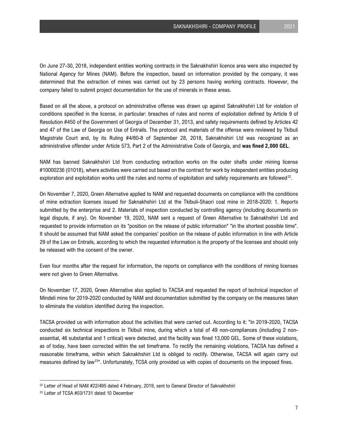On June 27-30, 2018, independent entities working contracts in the Saknakhshiri licence area were also inspected by National Agency for Mines (NAM). Before the inspection, based on information provided by the company, it was determined that the extraction of mines was carried out by 23 persons having working contracts. However, the company failed to submit project documentation for the use of minerals in these areas.

Based on all the above, a protocol on administrative offense was drawn up against Saknakhshiri Ltd for violation of conditions specified in the license, in particular: breaches of rules and norms of exploitation defined by Article 9 of Resolution #450 of the Government of Georgia of December 31, 2013, and safety requirements defined by Articles 42 and 47 of the Law of Georgia on Use of Entrails. The protocol and materials of the offense were reviewed by Tkibuli Magistrate Court and, by its Ruling #4/80-8 of September 28, 2018, Saknakhshiri Ltd was recognized as an administrative offender under Article 573, Part 2 of the Administrative Code of Georgia, and **was fined 2,000 GEL**.

NAM has banned Saknakhshiri Ltd from conducting extraction works on the outer shafts under mining license #10000236 (01018), where activities were carried out based on the contract for work by independent entities producing exploration and exploitation works until the rules and norms of exploitation and safety requirements are followed $22$ .

On November 7, 2020, Green Alternative applied to NAM and requested documents on compliance with the conditions of mine extraction licenses issued for Saknakhshiri Ltd at the Tkibuli-Shaori coal mine in 2018-2020: 1. Reports submitted by the enterprise and 2. Materials of inspection conducted by controlling agency (including documents on legal dispute, if any). On November 19, 2020, NAM sent a request of Green Alternative to Saknakhshiri Ltd and requested to provide information on its "position on the release of public information" "in the shortest possible time". It should be assumed that NAM asked the companies' position on the release of public information in line with Article 29 of the Law on Entrails, according to which the requested information is the property of the licensee and should only be released with the consent of the owner.

Even four months after the request for information, the reports on compliance with the conditions of mining licenses were not given to Green Alternative.

On November 17, 2020, Green Alternative also applied to TACSA and requested the report of technical inspection of Mindeli mine for 2019-2020 conducted by NAM and documentation submitted by the company on the measures taken to eliminate the violation identified during the inspection.

TACSA provided us with information about the activities that were carried out. According to it: "In 2019-2020, TACSA conducted six technical inspections in Tkibuli mine, during which a total of 49 non-compliances (including 2 nonessential, 46 substantial and 1 critical) were detected, and the facility was fined 13,000 GEL. Some of these violations, as of today, have been corrected within the set timeframe. To rectify the remaining violations, TACSA has defined a reasonable timeframe, within which Saknakhshiri Ltd is obliged to rectify. Otherwise, TACSA will again carry out measures defined by law[23"](#page-7-1). Unfortunately, TCSA only provided us with copies of documents on the imposed fines.

<span id="page-7-0"></span><sup>&</sup>lt;sup>22</sup> Letter of Head of NAM #22/495 dated 4 February, 2019, sent to General Director of Saknakhshiri

<span id="page-7-1"></span><sup>&</sup>lt;sup>23</sup> Letter of TCSA #03/1731 dated 10 December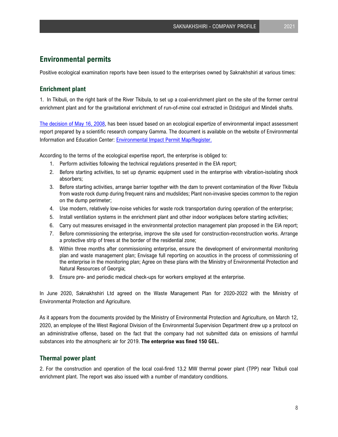## **Environmental permits**

Positive ecological examination reports have been issued to the enterprises owned by Saknakhshiri at various times:

#### **Enrichment plant**

1. In Tkibuli, on the right bank of the River Tkibula, to set up a coal-enrichment plant on the site of the former central enrichment plant and for the gravitational enrichment of run-of-mine coal extracted in Dzidziguri and Mindeli shafts.

[The decision of May 16, 2008,](http://maps.eiec.gov.ge/Home/ShowDocument/446) has been issued based on an ecological expertize of environmental impact assessment report prepared by a scientific research company Gamma. The document is available on the website of Environmental Information and Education Center: [Environmental Impact Permit Map/Register.](http://maps.eiec.gov.ge/) 

According to the terms of the ecological expertise report, the enterprise is obliged to:

- 1. Perform activities following the technical regulations presented in the EIA report;
- 2. Before starting activities, to set up dynamic equipment used in the enterprise with vibration-isolating shock absorbers;
- 3. Before starting activities, arrange barrier together with the dam to prevent contamination of the River Tkibula from waste rock dump during frequent rains and mudslides; Plant non-invasive species common to the region on the dump perimeter;
- 4. Use modern, relatively low-noise vehicles for waste rock transportation during operation of the enterprise;
- 5. Install ventilation systems in the enrichment plant and other indoor workplaces before starting activities;
- 6. Carry out measures envisaged in the environmental protection management plan proposed in the EIA report;
- 7. Before commissioning the enterprise, improve the site used for construction-reconstruction works. Arrange a protective strip of trees at the border of the residential zone;
- 8. Within three months after commissioning enterprise, ensure the development of environmental monitoring plan and waste management plan; Envisage full reporting on acoustics in the process of commissioning of the enterprise in the monitoring plan; Agree on these plans with the Ministry of Environmental Protection and Natural Resources of Georgia;
- 9. Ensure pre- and periodic medical check-ups for workers employed at the enterprise.

In June 2020, Saknakhshiri Ltd agreed on the Waste Management Plan for 2020-2022 with the Ministry of Environmental Protection and Agriculture.

As it appears from the documents provided by the Ministry of Environmental Protection and Agriculture, on March 12, 2020, an employee of the West Regional Division of the Environmental Supervision Department drew up a protocol on an administrative offense, based on the fact that the company had not submitted data on emissions of harmful substances into the atmospheric air for 2019. **The enterprise was fined 150 GEL.**

#### **Thermal power plant**

2. For the construction and operation of the local coal-fired 13.2 MW thermal power plant (TPP) near Tkibuli coal enrichment plant. The report was also issued with a number of mandatory conditions.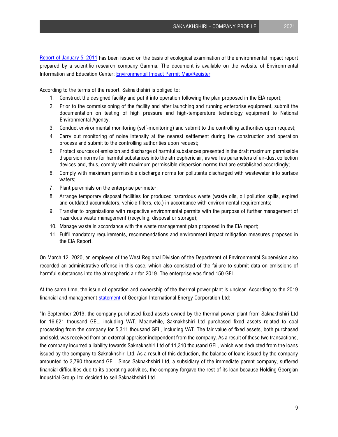[Report of January 5, 2011](http://maps.eiec.gov.ge/Home/ShowDocument/650) has been issued on the basis of ecological examination of the environmental impact report prepared by a scientific research company Gamma. The document is available on the website of Environmental Information and Education Center: [Environmental Impact Permit Map/Register](http://maps.eiec.gov.ge/)

According to the terms of the report, Saknakhshiri is obliged to:

- 1. Construct the designed facility and put it into operation following the plan proposed in the EIA report;
- 2. Prior to the commissioning of the facility and after launching and running enterprise equipment, submit the documentation on testing of high pressure and high-temperature technology equipment to National Environmental Agency.
- 3. Conduct environmental monitoring (self-monitoring) and submit to the controlling authorities upon request;
- 4. Carry out monitoring of noise intensity at the nearest settlement during the construction and operation process and submit to the controlling authorities upon request;
- 5. Protect sources of emission and discharge of harmful substances presented in the draft maximum permissible dispersion norms for harmful substances into the atmospheric air, as well as parameters of air-dust collection devices and, thus, comply with maximum permissible dispersion norms that are established accordingly;
- 6. Comply with maximum permissible discharge norms for pollutants discharged with wastewater into surface waters;
- 7. Plant perennials on the enterprise perimeter;
- 8. Arrange temporary disposal facilities for produced hazardous waste (waste oils, oil pollution spills, expired and outdated accumulators, vehicle filters, etc.) in accordance with environmental requirements;
- 9. Transfer to organizations with respective environmental permits with the purpose of further management of hazardous waste management (recycling, disposal or storage);
- 10. Manage waste in accordance with the waste management plan proposed in the EIA report;
- 11. Fulfil mandatory requirements, recommendations and environment impact mitigation measures proposed in the EIA Report.

On March 12, 2020, an employee of the West Regional Division of the Department of Environmental Supervision also recorded an administrative offense in this case, which also consisted of the failure to submit data on emissions of harmful substances into the atmospheric air for 2019. The enterprise was fined 150 GEL.

At the same time, the issue of operation and ownership of the thermal power plant is unclear. According to the 2019 financial and management [statement](https://reportal.ge/RpFileHandler.ashx?sys=19340) of Georgian International Energy Corporation Ltd:

"In September 2019, the company purchased fixed assets owned by the thermal power plant from Saknakhshiri Ltd for 16,621 thousand GEL, including VAT. Meanwhile, Saknakhshiri Ltd purchased fixed assets related to coal processing from the company for 5,311 thousand GEL, including VAT. The fair value of fixed assets, both purchased and sold, was received from an external appraiser independent from the company. As a result of these two transactions, the company incurred a liability towards Saknakhshiri Ltd of 11,310 thousand GEL, which was deducted from the loans issued by the company to Saknakhshiri Ltd. As a result of this deduction, the balance of loans issued by the company amounted to 3,790 thousand GEL. Since Saknakhshiri Ltd, a subsidiary of the immediate parent company, suffered financial difficulties due to its operating activities, the company forgave the rest of its loan because Holding Georgian Industrial Group Ltd decided to sell Saknakhshiri Ltd.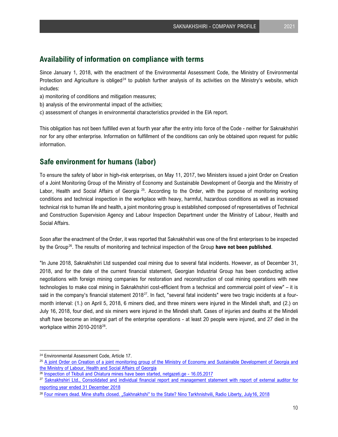#### **Availability of information on compliance with terms**

Since January 1, 2018, with the enactment of the Environmental Assessment Code, the Ministry of Environmental Protection and Agriculture is obliged<sup>[24](#page-10-0)</sup> to publish further analysis of its activities on the Ministry's website, which includes:

- a) monitoring of conditions and mitigation measures;
- b) analysis of the environmental impact of the activities;
- c) assessment of changes in environmental characteristics provided in the EIA report.

This obligation has not been fulfilled even at fourth year after the entry into force of the Code - neither for Saknakhshiri nor for any other enterprise. Information on fulfillment of the conditions can only be obtained upon request for public information.

# **Safe environment for humans (labor)**

To ensure the safety of labor in high-risk enterprises, on May 11, 2017, two Ministers issued a joint Order on Creation of a Joint Monitoring Group of the Ministry of Economy and Sustainable Development of Georgia and the Ministry of Labor, Health and Social Affairs of Georgia <sup>25</sup>. According to the Order, with the purpose of monitoring working conditions and technical inspection in the workplace with heavy, harmful, hazardous conditions as well as increased technical risk to human life and health, a joint monitoring group is established composed of representatives of Technical and Construction Supervision Agency and Labour Inspection Department under the Ministry of Labour, Health and Social Affairs.

Soon after the enactment of the Order, it was reported that Saknakhshiri was one of the first enterprises to be inspected by the Group[26](#page-10-2). The results of monitoring and technical inspection of the Group **have not been published**.

"In June 2018, Saknakhshiri Ltd suspended coal mining due to several fatal incidents. However, as of December 31, 2018, and for the date of the current financial statement, Georgian Industrial Group has been conducting active negotiations with foreign mining companies for restoration and reconstruction of coal mining operations with new technologies to make coal mining in Saknakhshiri cost-efficient from a technical and commercial point of view" – it is said in the company's financial statement  $2018^{27}$ . In fact, "several fatal incidents" were two tragic incidents at a fourmonth interval: (1.) on April 5, 2018, 6 miners died, and three miners were injured in the Mindeli shaft, and (2.) on July 16, 2018, four died, and six miners were injured in the Mindeli shaft. Cases of injuries and deaths at the Mindeli shaft have become an integral part of the enterprise operations - at least 20 people were injured, and 27 died in the workplace within 2010-2018<sup>[28](#page-10-4)</sup>.

<span id="page-10-1"></span><span id="page-10-0"></span><sup>&</sup>lt;sup>24</sup> Environmental Assessment Code, Article 17.<br><sup>25</sup> A joint Order on Creation of a joint monitoring group of the Ministry of Economy and Sustainable Development of Georgia and [the Ministry of Labour, Health and Social Affairs of Georgia](http://www.economy.ge/uploads/files/2017/saministro/ertoblivi_brdzaneba_11_05.pdf)

<span id="page-10-2"></span><sup>&</sup>lt;sup>26</sup> [Inspection of Tkibuli and Chiatura mines have been started, netgazeti.ge - 16.05.2017](https://netgazeti.ge/news/194369/)

<span id="page-10-3"></span><sup>&</sup>lt;sup>27</sup> Saknakhshiri Ltd., Consolidated and individual financial report and management statement with report of external auditor for [reporting year ended 31 December 2018](https://reportal.ge/RpFileHandler.ashx?sys=2950)

<span id="page-10-4"></span><sup>28</sup> [Four miners dead. Mine shafts closed. "Sakhnakhshi" to the State? Nino Tarkhnishvili, Radio Liberty, July16, 2018](https://www.radiotavisupleba.ge/a/%E1%83%9D%E1%83%97%E1%83%AE%E1%83%98-%E1%83%9B%E1%83%99%E1%83%95%E1%83%93%E1%83%90%E1%83%A0%E1%83%98-%E1%83%9B%E1%83%94%E1%83%A8%E1%83%90%E1%83%AE%E1%83%A2%E1%83%94-%E1%83%93%E1%83%90%E1%83%AE%E1%83%A3%E1%83%A0%E1%83%A3%E1%83%9A%E1%83%98-%E1%83%A8%E1%83%90%E1%83%AE%E1%83%A2%E1%83%94%E1%83%91%E1%83%98-%E1%83%A1%E1%83%90%E1%83%A5%E1%83%9C%E1%83%90%E1%83%AE%E1%83%A8%E1%83%98%E1%83%A0%E1%83%98-%E1%83%A1%E1%83%90%E1%83%AE%E1%83%94%E1%83%9A%E1%83%9B%E1%83%AC%E1%83%98%E1%83%A4%E1%83%9D%E1%83%A1-/29367766.html#3)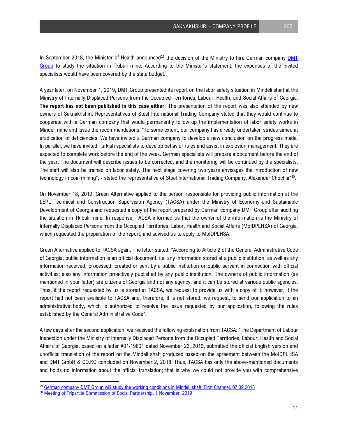In September 2018, the Minister of Health announced<sup>[29](#page-11-0)</sup> the decision of the Ministry to hire German company **DMT** [Group](https://www.dmt-group.com/) to study the situation in Tkibuli mine. According to the Minister's statement, the expenses of the invited specialists would have been covered by the state budget.

A year later, on November 1, 2019, DMT Group presented its report on the labor safety situation in Mindeli shaft at the Ministry of Internally Displaced Persons from the Occupied Territories, Labour, Health, and Social Affairs of Georgia. **The report has not been published in this case either.** The presentation of the report was also attended by new owners of Saknakhshiri. Representatives of Steel International Trading Company stated that they would continue to cooperate with a German company that would permanently follow up the implementation of labor safety works in Mindeli mine and issue the recommendations. "To some extent, our company has already undertaken strides aimed at eradication of deficiencies. We have invited a German company to develop a new conclusion on the progress made. In parallel, we have invited Turkish specialists to develop behavior rules and assist in explosion management. They are expected to complete work before the end of the week. German specialists will prepare a document before the end of the year. The document will describe issues to be corrected, and the monitoring will be continued by the specialists. The staff will also be trained on labor safety. The next stage covering two years envisages the introduction of new technology in coal mining", - stated the representative of Steel International Trading Company, Alexander Chochia"[30](#page-11-1).

On November 18, 2019, Green Alternative applied to the person responsible for providing public information at the LEPL Technical and Construction Supervision Agency (TACSA) under the Ministry of Economy and Sustainable Development of Georgia and requested a copy of the report prepared by German company DMT Group after auditing the situation in Tkibuli mine. In response, TACSA informed us that the owner of the information is the Ministry of Internally Displaced Persons from the Occupied Territories, Labor, Health and Social Affairs (MoIDPLHSA) of Georgia, which requested the preparation of the report, and advised us to apply to MoIDPLHSA.

Green Alternative applied to TACSA again. The letter stated: "According to Article 2 of the General Administrative Code of Georgia, public information is an official document, i.e. any information stored at a public institution, as well as any information received, processed, created or sent by a public institution or public servant in connection with official activities; also any information proactively published by any public institution. The owners of public information (as mentioned in your letter) are citizens of Georgia and not any agency, and it can be stored at various public agencies. Thus, if the report requested by us is stored at TACSA, we request to provide us with a copy of it; however, if the report had not been available to TACSA and, therefore, it is not stored, we request, to send our application to an administrative body, which is authorized to resolve the issue requested by our application, following the rules established by the General Administrative Code".

A few days after the second application, we received the following explanation from TACSA: "The Department of Labour Inspection under the Ministry of Internally Displaced Persons from the Occupied Territories, Labour, Health and Social Affairs of Georgia, based on a letter #01/19801 dated November 23, 2019, submitted the official English version and unofficial translation of the report on the Mindeli shaft produced based on the agreement between the MoIDPLHSA and DMT GmbH & CO.KG concluded on November 2, 2018. Thus, TACSA has only the above-mentioned documents and holds no information about the official translation; that is why we could not provide you with comprehensive

<span id="page-11-0"></span><sup>&</sup>lt;sup>29</sup> [German company DMT Group will study the working conditions in Mindeli shaft, First Channel, 07.09.2018](https://1tv.ge/news/mindelis-shakhtshi-shromis-pirobebs-germanuli-kompania-dmt-group-sheiswavlis/) 30<br><sup>30</sup> [Meeting of Tripartite Commission of Social Partnership, 1 November, 2019](https://www.moh.gov.ge/en/news/4776/Meeting-of-Tripartite-Commission-of-Social-Partnership-)

<span id="page-11-1"></span>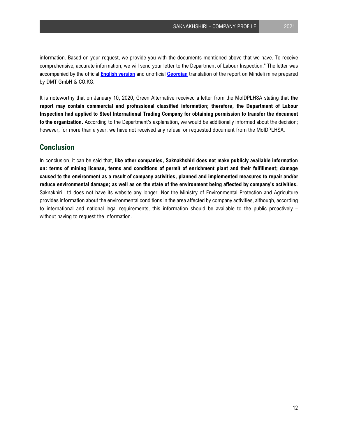information. Based on your request, we provide you with the documents mentioned above that we have. To receive comprehensive, accurate information, we will send your letter to the Department of Labour Inspection." The letter was accompanied by the official **[English](http://greenalt.org/wp-content/uploads/2019/12/DMT_final_Eng.pdf) version** and unofficial **[Georgian](http://greenalt.org/wp-content/uploads/2019/12/DMT_Geo_Unofficial_translation.pdf)** translation of the report on Mindeli mine prepared by DMT GmbH & CO.KG.

It is noteworthy that on January 10, 2020, Green Alternative received a letter from the MoIDPLHSA stating that **the report may contain commercial and professional classified information; therefore, the Department of Labour Inspection had applied to Steel International Trading Company for obtaining permission to transfer the document to the organization.** According to the Department's explanation, we would be additionally informed about the decision; however, for more than a year, we have not received any refusal or requested document from the MoIDPLHSA.

# **Conclusion**

In conclusion, it can be said that, **like other companies, Saknakhshiri does not make publicly available information on: terms of mining license, terms and conditions of permit of enrichment plant and their fulfillment; damage caused to the environment as a result of company activities, planned and implemented measures to repair and/or reduce environmental damage; as well as on the state of the environment being affected by company's activities.** Saknakhiri Ltd does not have its website any longer. Nor the Ministry of Environmental Protection and Agriculture provides information about the environmental conditions in the area affected by company activities, although, according to international and national legal requirements, this information should be available to the public proactively – without having to request the information.